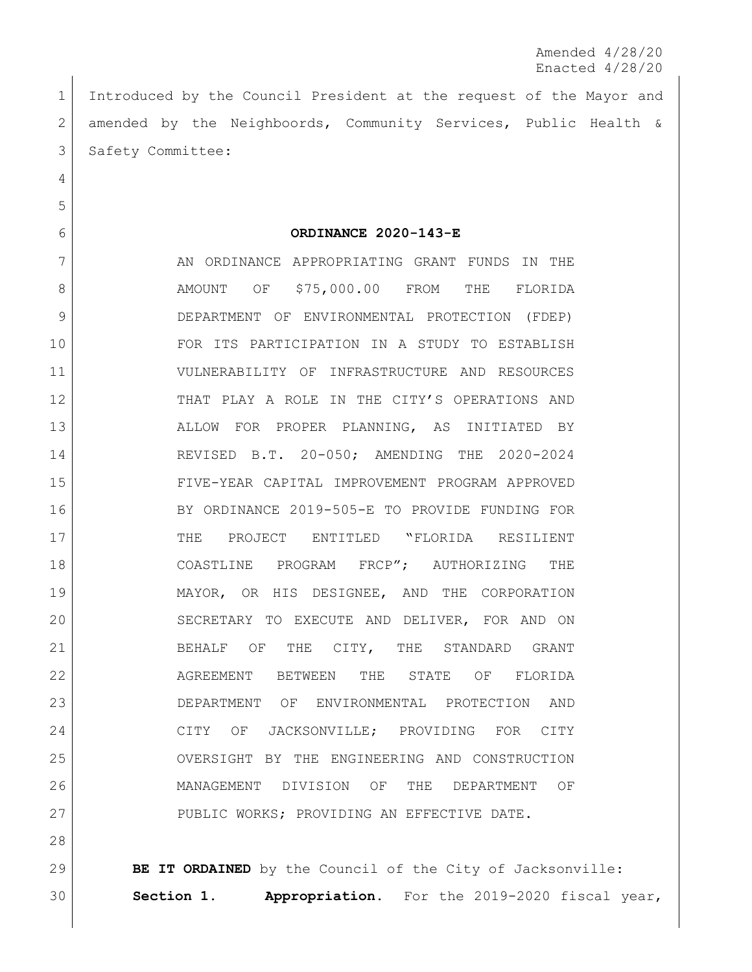Amended 4/28/20 Enacted 4/28/20

 Introduced by the Council President at the request of the Mayor and amended by the Neighboords, Community Services, Public Health & 3 Safety Committee:

**ORDINANCE 2020-143-E**

7 AN ORDINANCE APPROPRIATING GRANT FUNDS IN THE 8 AMOUNT OF \$75,000.00 FROM THE FLORIDA DEPARTMENT OF ENVIRONMENTAL PROTECTION (FDEP) FOR ITS PARTICIPATION IN A STUDY TO ESTABLISH VULNERABILITY OF INFRASTRUCTURE AND RESOURCES THAT PLAY A ROLE IN THE CITY'S OPERATIONS AND ALLOW FOR PROPER PLANNING, AS INITIATED BY REVISED B.T. 20-050; AMENDING THE 2020-2024 FIVE-YEAR CAPITAL IMPROVEMENT PROGRAM APPROVED BY ORDINANCE 2019-505-E TO PROVIDE FUNDING FOR THE PROJECT ENTITLED "FLORIDA RESILIENT COASTLINE PROGRAM FRCP"; AUTHORIZING THE MAYOR, OR HIS DESIGNEE, AND THE CORPORATION 20 SECRETARY TO EXECUTE AND DELIVER, FOR AND ON 21 BEHALF OF THE CITY, THE STANDARD GRANT AGREEMENT BETWEEN THE STATE OF FLORIDA DEPARTMENT OF ENVIRONMENTAL PROTECTION AND 24 CITY OF JACKSONVILLE; PROVIDING FOR CITY OVERSIGHT BY THE ENGINEERING AND CONSTRUCTION MANAGEMENT DIVISION OF THE DEPARTMENT OF 27 PUBLIC WORKS; PROVIDING AN EFFECTIVE DATE.

**BE IT ORDAINED** by the Council of the City of Jacksonville: **Section 1. Appropriation.** For the 2019-2020 fiscal year,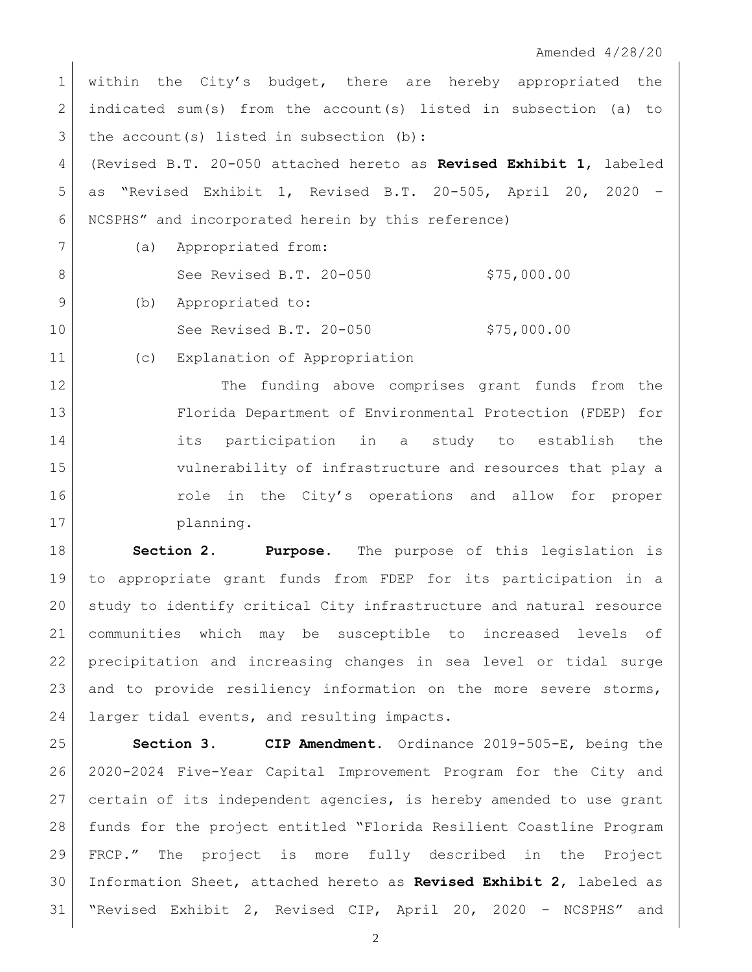Amended 4/28/20

1 within the City's budget, there are hereby appropriated the indicated sum(s) from the account(s) listed in subsection (a) to the account(s) listed in subsection (b): (Revised B.T. 20-050 attached hereto as **Revised Exhibit 1**, labeled as "Revised Exhibit 1, Revised B.T. 20-505, April 20, 2020 – NCSPHS" and incorporated herein by this reference) (a) Appropriated from: 8 See Revised B.T. 20-050 \$75,000.00 9 (b) Appropriated to: See Revised B.T. 20-050 \$75,000.00

12 The funding above comprises grant funds from the Florida Department of Environmental Protection (FDEP) for its participation in a study to establish the vulnerability of infrastructure and resources that play a 16 16 role in the City's operations and allow for proper 17 planning.

(c) Explanation of Appropriation

 **Section 2. Purpose.** The purpose of this legislation is to appropriate grant funds from FDEP for its participation in a study to identify critical City infrastructure and natural resource communities which may be susceptible to increased levels of precipitation and increasing changes in sea level or tidal surge 23 and to provide resiliency information on the more severe storms, 24 | larger tidal events, and resulting impacts.

 **Section 3. CIP Amendment.** Ordinance 2019-505-E, being the 2020-2024 Five-Year Capital Improvement Program for the City and certain of its independent agencies, is hereby amended to use grant funds for the project entitled "Florida Resilient Coastline Program FRCP." The project is more fully described in the Project Information Sheet, attached hereto as **Revised Exhibit 2**, labeled as "Revised Exhibit 2, Revised CIP, April 20, 2020 – NCSPHS" and